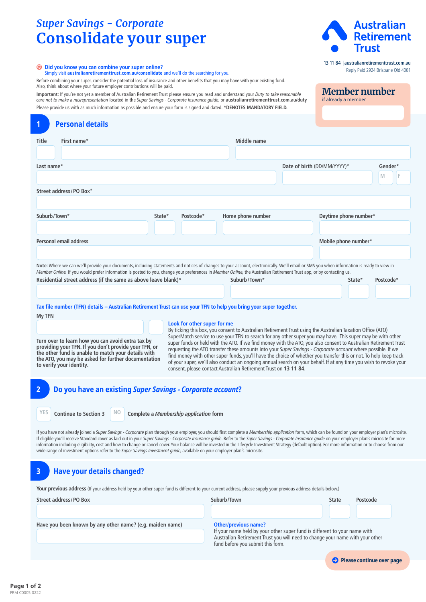# *Super Savings - Corporate* **Consolidate your super**



13 11 84 |[australianretirementtrust.com.au](https://www.australianretirementtrust.com.au/?utm_source=document&utm_medium=pdf&utm_campaign=pds_and_guides) Reply Paid 2924 Brisbane Qld 4001

**Member number**

if already a member

|  |  |  |  | Did you know you can combine your super online? |  |  |  |  |
|--|--|--|--|-------------------------------------------------|--|--|--|--|
|--|--|--|--|-------------------------------------------------|--|--|--|--|

 **Did you know you can combine your super online?**  Simply visit **[australianretirementtrust.com.au/consolidate](https://www.australianretirementtrust.com.au/consolidate?utm_source=document&utm_medium=pdf&utm_campaign=pds_and_guides)** and we'll do the searching for you.

Before combining your super, consider the potential loss of insurance and other benefits that you may have with your existing fund. Also, think about where your future employer contributions will be paid.

**Important:** If you're not yet a member of Australian Retirement Trust please ensure you read and understand your *Duty to take reasonable care not to make a misrepresentation* located in the *Super Savings - Corporate Insurance guide,* or **[australianretirementtrust.com.au/duty](https://www.australianretirementtrust.com.au/duty?utm_source=document&utm_medium=pdf&utm_campaign=pds_and_guides)** Please provide us with as much information as possible and ensure your form is signed and dated. **\*DENOTES MANDATORY FIELD.**

# **Title First name\* Middle name Personal details**

| Last name*                                                                                                                                                                                                                                                                                                                                                        |        |           |                   | Date of birth (DD/MM/YYYY)* |                       |        | Gender*   |  |
|-------------------------------------------------------------------------------------------------------------------------------------------------------------------------------------------------------------------------------------------------------------------------------------------------------------------------------------------------------------------|--------|-----------|-------------------|-----------------------------|-----------------------|--------|-----------|--|
|                                                                                                                                                                                                                                                                                                                                                                   |        |           |                   |                             |                       |        | M         |  |
| Street address/PO Box*                                                                                                                                                                                                                                                                                                                                            |        |           |                   |                             |                       |        |           |  |
|                                                                                                                                                                                                                                                                                                                                                                   |        |           |                   |                             |                       |        |           |  |
| Suburb/Town*                                                                                                                                                                                                                                                                                                                                                      | State* | Postcode* | Home phone number |                             | Daytime phone number* |        |           |  |
|                                                                                                                                                                                                                                                                                                                                                                   |        |           |                   |                             |                       |        |           |  |
| Personal email address                                                                                                                                                                                                                                                                                                                                            |        |           |                   |                             | Mobile phone number*  |        |           |  |
|                                                                                                                                                                                                                                                                                                                                                                   |        |           |                   |                             |                       |        |           |  |
| Note: Where we can we'll provide your documents, including statements and notices of changes to your account, electronically. We'll email or SMS you when information is ready to view in<br>Member Online. If you would prefer information is posted to you, change your preferences in Member Online, the Australian Retirement Trust app, or by contacting us. |        |           |                   |                             |                       |        |           |  |
| Residential street address (if the same as above leave blank)*                                                                                                                                                                                                                                                                                                    |        |           | Suburb/Town*      |                             |                       | State* | Postcode* |  |
|                                                                                                                                                                                                                                                                                                                                                                   |        |           |                   |                             |                       |        |           |  |

# **Tax file number (TFN) details – Australian Retirement Trust can use your TFN to help you bring your super together.**

**My TFN**

**2**

**3**

**1**

### **Look for other super for me**

By ticking this box, you consent to Australian Retirement Trust using the Australian Taxation Office (ATO) SuperMatch service to use your TFN to search for any other super you may have. This super may be with other super funds or held with the ATO. If we find money with the ATO, you also consent to Australian Retirement Trust requesting the ATO transfer these amounts into your *Super Savings - Corporate account* where possible. If we find money with other super funds, you'll have the choice of whether you transfer this or not. To help keep track of your super, we'll also conduct an ongoing annual search on your behalf. If at any time you wish to revoke your consent, please contact Australian Retirement Trust on **13 11 84**.

# **Do you have an existing** *Super Savings - Corporate account***?**

**YES Continue to Section 3** NO

**to verify your identity.**

**Complete a** *Membership application* form

If you have not already joined a *Super Savings - Corporate* plan through your employer, you should first complete a *Membership application* form, which can be found on your employer plan's microsite. If eligible you'll receive Standard cover as laid out in your *Super Savings - Corporate Insurance guide*. Refer to the *Super Savings - Corporate Insurance guide* on your employer plan's microsite for more information including eligibility, cost and how to change or cancel cover. Your balance will be invested in the Lifecycle Investment Strategy (default option). For more information or to choose from our wide range of investment options refer to the *Super Savings Investment guide,* available on your employer plan's microsite.

# **Have your details changed?**

**Turn over to learn how you can avoid extra tax by providing your TFN. If you don't provide your TFN, or the other fund is unable to match your details with the ATO, you may be asked for further documentation** 

Your previous address (If your address held by your other super fund is different to your current address, please supply your previous address details below.)

| Street address/PO Box                                     | Suburb/Town                                                                                                                                                                                                                    | <b>State</b> | Postcode |  |  |
|-----------------------------------------------------------|--------------------------------------------------------------------------------------------------------------------------------------------------------------------------------------------------------------------------------|--------------|----------|--|--|
|                                                           |                                                                                                                                                                                                                                |              |          |  |  |
| Have you been known by any other name? (e.g. maiden name) | <b>Other/previous name?</b><br>If your name held by your other super fund is different to your name with<br>Australian Retirement Trust you will need to change your name with your other<br>fund before you submit this form. |              |          |  |  |